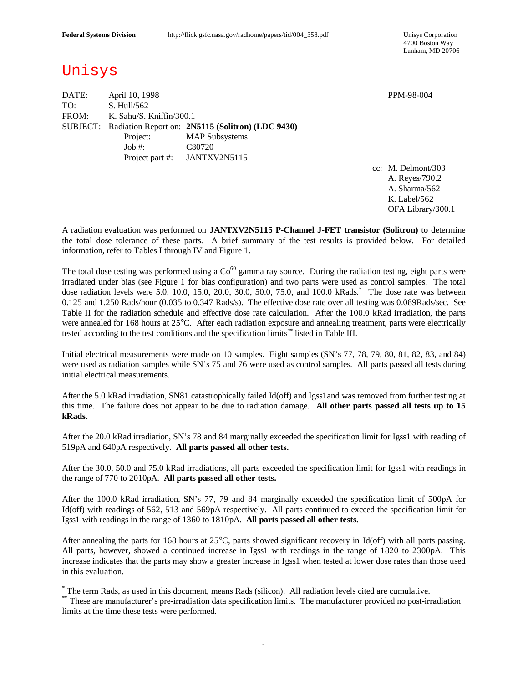4700 Boston Way Lanham, MD 20706

# Unisys

 $\overline{\phantom{a}}$ 

DATE: April 10, 1998 PPM-98-004 TO: S. Hull/562 FROM: K. Sahu/S. Kniffin/300.1 SUBJECT: Radiation Report on: **2N5115 (Solitron) (LDC 9430)** Project: MAP Subsystems Job #: C80720 Project part #: JANTXV2N5115

cc: M. Delmont/303 A. Reyes/790.2 A. Sharma/562 K. Label/562 OFA Library/300.1

A radiation evaluation was performed on **JANTXV2N5115 P-Channel J-FET transistor (Solitron)** to determine the total dose tolerance of these parts. A brief summary of the test results is provided below. For detailed information, refer to Tables I through IV and Figure 1.

The total dose testing was performed using a  $Co^{60}$  gamma ray source. During the radiation testing, eight parts were irradiated under bias (see Figure 1 for bias configuration) and two parts were used as control samples. The total dose radiation levels were 5.0, 10.0, 15.0, 20.0, 30.0, 50.0, 75.0, and 100.0 kRads. \* The dose rate was between 0.125 and 1.250 Rads/hour (0.035 to 0.347 Rads/s). The effective dose rate over all testing was 0.089Rads/sec. See Table II for the radiation schedule and effective dose rate calculation. After the 100.0 kRad irradiation, the parts were annealed for 168 hours at 25°C. After each radiation exposure and annealing treatment, parts were electrically tested according to the test conditions and the specification limits\*\* listed in Table III.

Initial electrical measurements were made on 10 samples. Eight samples (SN's 77, 78, 79, 80, 81, 82, 83, and 84) were used as radiation samples while SN's 75 and 76 were used as control samples. All parts passed all tests during initial electrical measurements.

After the 5.0 kRad irradiation, SN81 catastrophically failed Id(off) and Igss1and was removed from further testing at this time. The failure does not appear to be due to radiation damage. **All other parts passed all tests up to 15 kRads.**

After the 20.0 kRad irradiation, SN's 78 and 84 marginally exceeded the specification limit for Igss1 with reading of 519pA and 640pA respectively. **All parts passed all other tests.**

After the 30.0, 50.0 and 75.0 kRad irradiations, all parts exceeded the specification limit for Igss1 with readings in the range of 770 to 2010pA. **All parts passed all other tests.**

After the 100.0 kRad irradiation, SN's 77, 79 and 84 marginally exceeded the specification limit of 500pA for Id(off) with readings of 562, 513 and 569pA respectively. All parts continued to exceed the specification limit for Igss1 with readings in the range of 1360 to 1810pA. **All parts passed all other tests.**

After annealing the parts for 168 hours at 25°C, parts showed significant recovery in Id(off) with all parts passing. All parts, however, showed a continued increase in Igss1 with readings in the range of 1820 to 2300pA. This increase indicates that the parts may show a greater increase in Igss1 when tested at lower dose rates than those used in this evaluation.

<sup>\*</sup> The term Rads, as used in this document, means Rads (silicon). All radiation levels cited are cumulative.

<sup>\*\*</sup> These are manufacturer's pre-irradiation data specification limits. The manufacturer provided no post-irradiation limits at the time these tests were performed.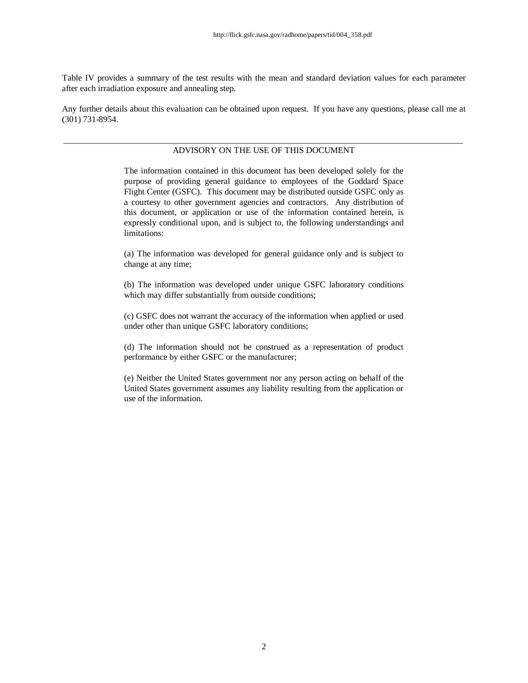Table IV provides a summary of the test results with the mean and standard deviation values for each parameter after each irradiation exposure and annealing step.

Any further details about this evaluation can be obtained upon request. If you have any questions, please call me at (301) 731-8954.

### \_\_\_\_\_\_\_\_\_\_\_\_\_\_\_\_\_\_\_\_\_\_\_\_\_\_\_\_\_\_\_\_\_\_\_\_\_\_\_\_\_\_\_\_\_\_\_\_\_\_\_\_\_\_\_\_\_\_\_\_\_\_\_\_\_\_\_\_\_\_\_\_\_\_\_\_\_\_\_\_\_\_\_\_\_\_\_\_\_\_\_\_ ADVISORY ON THE USE OF THIS DOCUMENT

The information contained in this document has been developed solely for the purpose of providing general guidance to employees of the Goddard Space Flight Center (GSFC). This document may be distributed outside GSFC only as a courtesy to other government agencies and contractors. Any distribution of this document, or application or use of the information contained herein, is expressly conditional upon, and is subject to, the following understandings and limitations:

(a) The information was developed for general guidance only and is subject to change at any time;

(b) The information was developed under unique GSFC laboratory conditions which may differ substantially from outside conditions;

(c) GSFC does not warrant the accuracy of the information when applied or used under other than unique GSFC laboratory conditions;

(d) The information should not be construed as a representation of product performance by either GSFC or the manufacturer;

(e) Neither the United States government nor any person acting on behalf of the United States government assumes any liability resulting from the application or use of the information.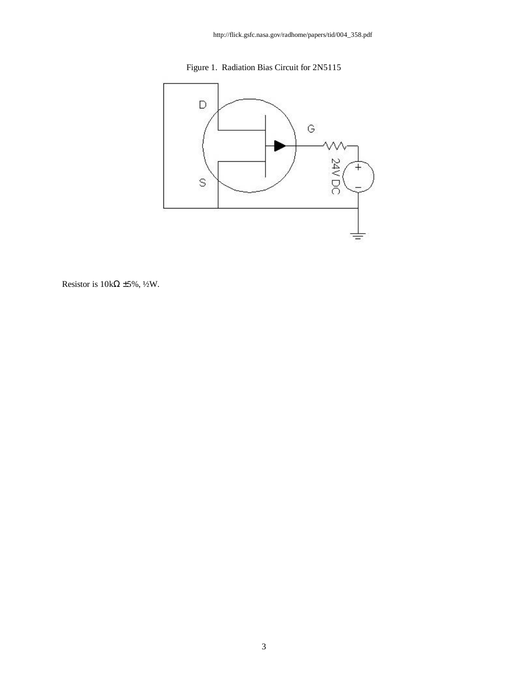



Resistor is  $10k\Omega \pm 5\%$ , ½W.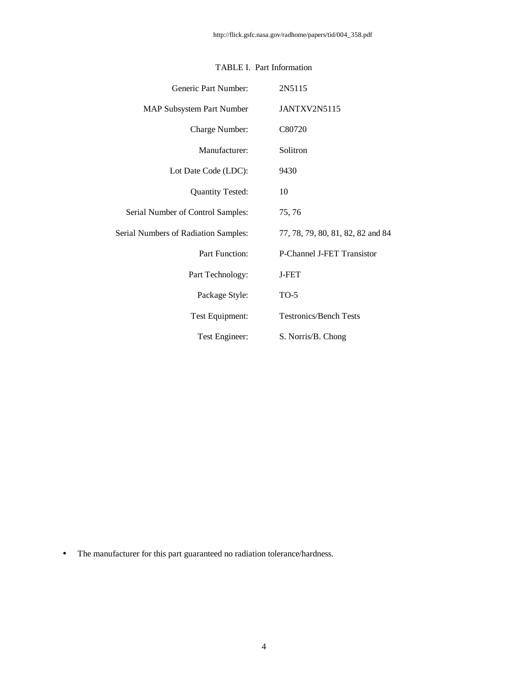| Generic Part Number:                 | 2N5115                            |
|--------------------------------------|-----------------------------------|
| <b>MAP Subsystem Part Number</b>     | JANTXV2N5115                      |
| Charge Number:                       | C80720                            |
| Manufacturer:                        | Solitron                          |
| Lot Date Code (LDC):                 | 9430                              |
| <b>Quantity Tested:</b>              | 10                                |
| Serial Number of Control Samples:    | 75, 76                            |
| Serial Numbers of Radiation Samples: | 77, 78, 79, 80, 81, 82, 82 and 84 |
| Part Function:                       | P-Channel J-FET Transistor        |
| Part Technology:                     | <b>J-FET</b>                      |
| Package Style:                       | $TO-5$                            |
| Test Equipment:                      | <b>Testronics/Bench Tests</b>     |
| Test Engineer:                       | S. Norris/B. Chong                |

# TABLE I. Part Information

• The manufacturer for this part guaranteed no radiation tolerance/hardness.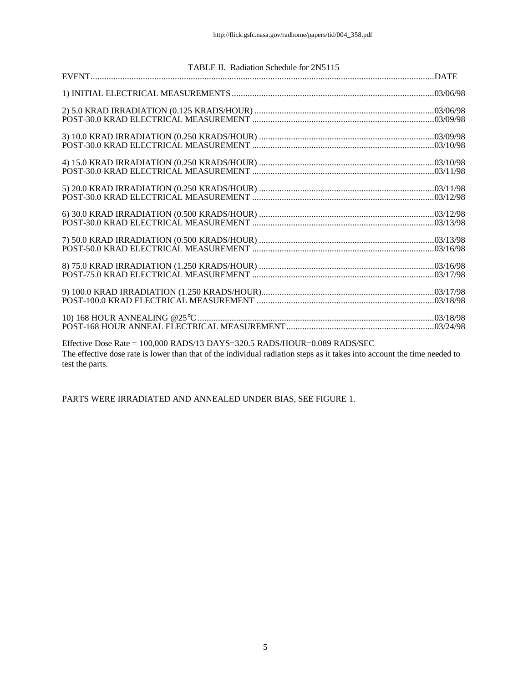| TABLE II. Radiation Schedule for 2N5115                                                                                                                                                                                             |  |
|-------------------------------------------------------------------------------------------------------------------------------------------------------------------------------------------------------------------------------------|--|
|                                                                                                                                                                                                                                     |  |
|                                                                                                                                                                                                                                     |  |
|                                                                                                                                                                                                                                     |  |
|                                                                                                                                                                                                                                     |  |
|                                                                                                                                                                                                                                     |  |
|                                                                                                                                                                                                                                     |  |
|                                                                                                                                                                                                                                     |  |
|                                                                                                                                                                                                                                     |  |
|                                                                                                                                                                                                                                     |  |
|                                                                                                                                                                                                                                     |  |
|                                                                                                                                                                                                                                     |  |
|                                                                                                                                                                                                                                     |  |
|                                                                                                                                                                                                                                     |  |
|                                                                                                                                                                                                                                     |  |
|                                                                                                                                                                                                                                     |  |
|                                                                                                                                                                                                                                     |  |
|                                                                                                                                                                                                                                     |  |
|                                                                                                                                                                                                                                     |  |
|                                                                                                                                                                                                                                     |  |
|                                                                                                                                                                                                                                     |  |
|                                                                                                                                                                                                                                     |  |
|                                                                                                                                                                                                                                     |  |
|                                                                                                                                                                                                                                     |  |
|                                                                                                                                                                                                                                     |  |
|                                                                                                                                                                                                                                     |  |
| Effective Dose Rate = 100,000 RADS/13 DAYS=320.5 RADS/HOUR=0.089 RADS/SEC                                                                                                                                                           |  |
| $\overline{1}$ , and a set of the set of the set of the set of the set of the set of the set of the set of the set of the set of the set of the set of the set of the set of the set of the set of the set of the set of the set of |  |

The effective dose rate is lower than that of the individual radiation steps as it takes into account the time needed to test the parts.

PARTS WERE IRRADIATED AND ANNEALED UNDER BIAS, SEE FIGURE 1.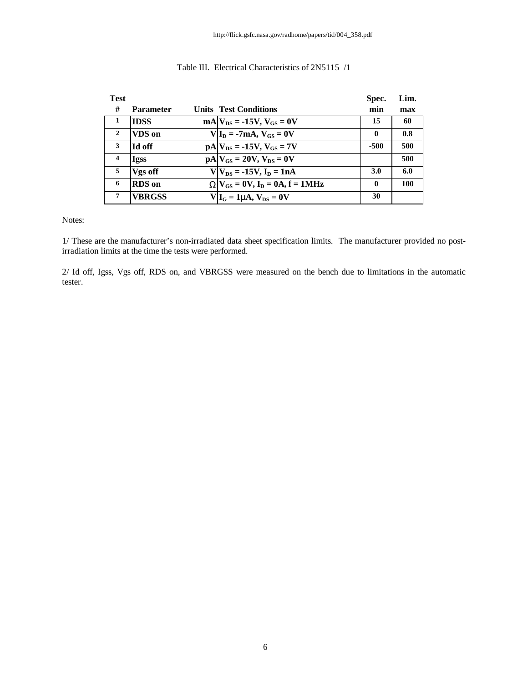| <b>Test</b>      |                  |                                                                                                                                                                          | Spec.        | Lim. |
|------------------|------------------|--------------------------------------------------------------------------------------------------------------------------------------------------------------------------|--------------|------|
| #                | <b>Parameter</b> | <b>Units Test Conditions</b>                                                                                                                                             | min          | max  |
| -1               | <b>IDSS</b>      | $mA V_{DS} = -15V$ , $V_{GS} = 0V$                                                                                                                                       | 15           | 60   |
| $\mathbf{2}$     | VDS on           | $V I_D = -7mA, V_{GS} = 0V$                                                                                                                                              | $\mathbf{0}$ | 0.8  |
| 3                | <b>Id off</b>    | $pA V_{DS} = -15V$ , $V_{GS} = 7V$                                                                                                                                       | $-500$       | 500  |
| $\boldsymbol{4}$ | <b>Igss</b>      | $pA V_{GS} = 20V, V_{DS} = 0V$                                                                                                                                           |              | 500  |
| 5                | Vgs off          | $V V_{DS} = -15V$ , $I_D = 1nA$                                                                                                                                          | 3.0          | 6.0  |
| 6                | <b>RDS</b> on    | $\mathbf{W} \mathbf{V}_{\mathbf{G}S} = \mathbf{0} \mathbf{V}, \mathbf{I}_{\mathbf{D}} = \mathbf{0} \mathbf{A}, \mathbf{f} = \mathbf{1} \mathbf{M} \mathbf{H} \mathbf{z}$ | $\mathbf{0}$ | 100  |
| 7                | <b>VBRGSS</b>    | $V _{\text{I}_{\text{G}}} = 1$ mA, $V_{\text{DS}} = 0V$                                                                                                                  | 30           |      |

## Table III. Electrical Characteristics of 2N5115 /1

Notes:

1/ These are the manufacturer's non-irradiated data sheet specification limits. The manufacturer provided no postirradiation limits at the time the tests were performed.

2/ Id off, Igss, Vgs off, RDS on, and VBRGSS were measured on the bench due to limitations in the automatic tester.